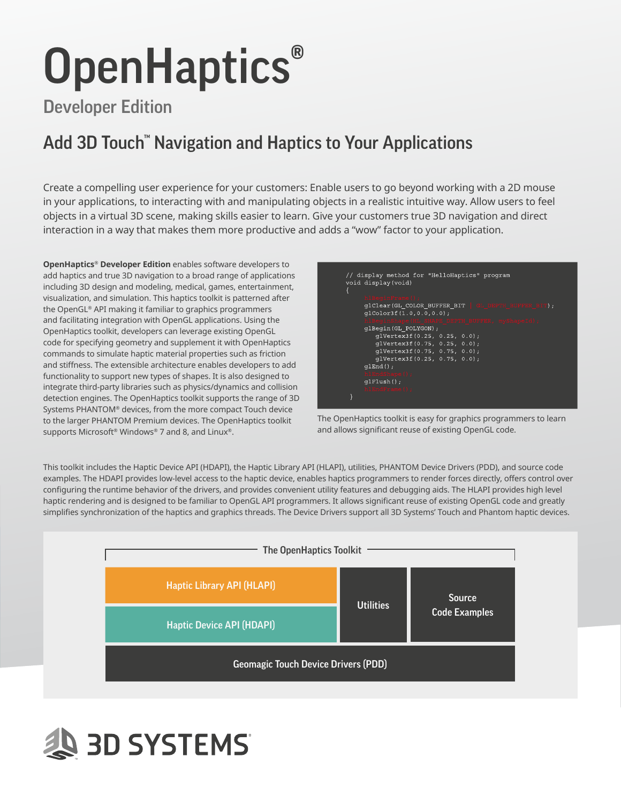# OpenHaptics<sup>®</sup>

# Developer Edition

# Add 3D Touch™ Navigation and Haptics to Your Applications

Create a compelling user experience for your customers: Enable users to go beyond working with a 2D mouse in your applications, to interacting with and manipulating objects in a realistic intuitive way. Allow users to feel objects in a virtual 3D scene, making skills easier to learn. Give your customers true 3D navigation and direct interaction in a way that makes them more productive and adds a "wow" factor to your application.

**OpenHaptics® Developer Edition** enables software developers to add haptics and true 3D navigation to a broad range of applications including 3D design and modeling, medical, games, entertainment, visualization, and simulation. This haptics toolkit is patterned after the OpenGL® API making it familiar to graphics programmers and facilitating integration with OpenGL applications. Using the OpenHaptics toolkit, developers can leverage existing OpenGL code for specifying geometry and supplement it with OpenHaptics commands to simulate haptic material properties such as friction and stiffness. The extensible architecture enables developers to add functionality to support new types of shapes. It is also designed to integrate third-party libraries such as physics/dynamics and collision detection engines. The OpenHaptics toolkit supports the range of 3D Systems PHANTOM® devices, from the more compact Touch device to the larger PHANTOM Premium devices. The OpenHaptics toolkit supports Microsoft® Windows® 7 and 8, and Linux®.





This toolkit includes the Haptic Device API (HDAPI), the Haptic Library API (HLAPI), utilities, PHANTOM Device Drivers (PDD), and source code examples. The HDAPI provides low-level access to the haptic device, enables haptics programmers to render forces directly, offers control over configuring the runtime behavior of the drivers, and provides convenient utility features and debugging aids. The HLAPI provides high level haptic rendering and is designed to be familiar to OpenGL API programmers. It allows significant reuse of existing OpenGL code and greatly simplifies synchronization of the haptics and graphics threads. The Device Drivers support all 3D Systems' Touch and Phantom haptic devices.



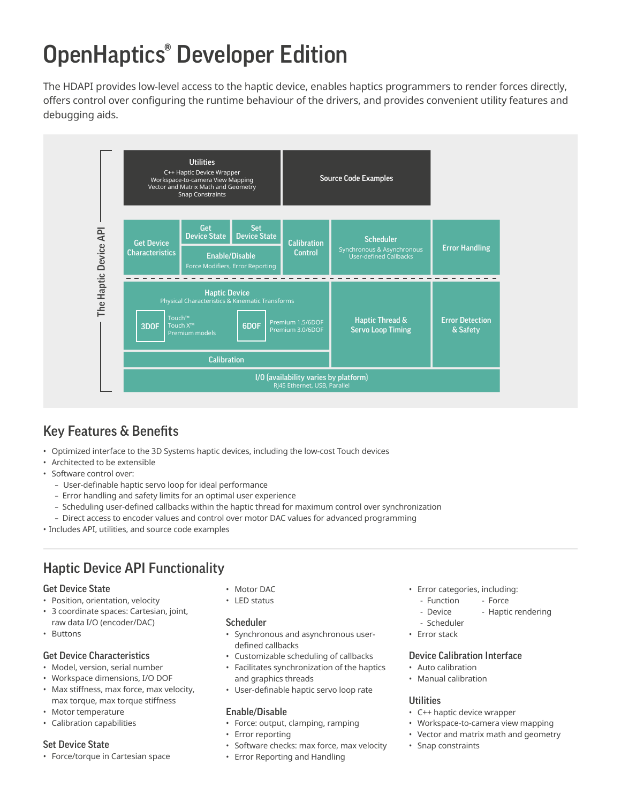# OpenHaptics® Developer Edition

The HDAPI provides low-level access to the haptic device, enables haptics programmers to render forces directly, offers control over configuring the runtime behaviour of the drivers, and provides convenient utility features and debugging aids.



# Key Features & Benefits

- Optimized interface to the 3D Systems haptic devices, including the low-cost Touch devices
- Architected to be extensible
- Software control over:
	- User-definable haptic servo loop for ideal performance
	- Error handling and safety limits for an optimal user experience
	- Scheduling user-defined callbacks within the haptic thread for maximum control over synchronization
	- Direct access to encoder values and control over motor DAC values for advanced programming
- Includes API, utilities, and source code examples

## Haptic Device API Functionality

#### Get Device State

- Position, orientation, velocity
- 3 coordinate spaces: Cartesian, joint, raw data I/O (encoder/DAC)
- Buttons

#### Get Device Characteristics

- Model, version, serial number
- Workspace dimensions, I/O DOF
- Max stiffness, max force, max velocity, max torque, max torque stiffness
- Motor temperature
- Calibration capabilities

#### Set Device State

• Force/torque in Cartesian space

- Motor DAC
- LED status

#### Scheduler

- Synchronous and asynchronous userdefined callbacks
- Customizable scheduling of callbacks
- Facilitates synchronization of the haptics and graphics threads
- User-definable haptic servo loop rate

#### Enable/Disable

- Force: output, clamping, ramping
- Error reporting
- Software checks: max force, max velocity
- Error Reporting and Handling
- Error categories, including:
	- Function Force
	- Device Haptic rendering
	- Scheduler
- Error stack

#### Device Calibration Interface

- Auto calibration
- Manual calibration

#### **Utilities**

- C++ haptic device wrapper
- Workspace-to-camera view mapping
- Vector and matrix math and geometry
- Snap constraints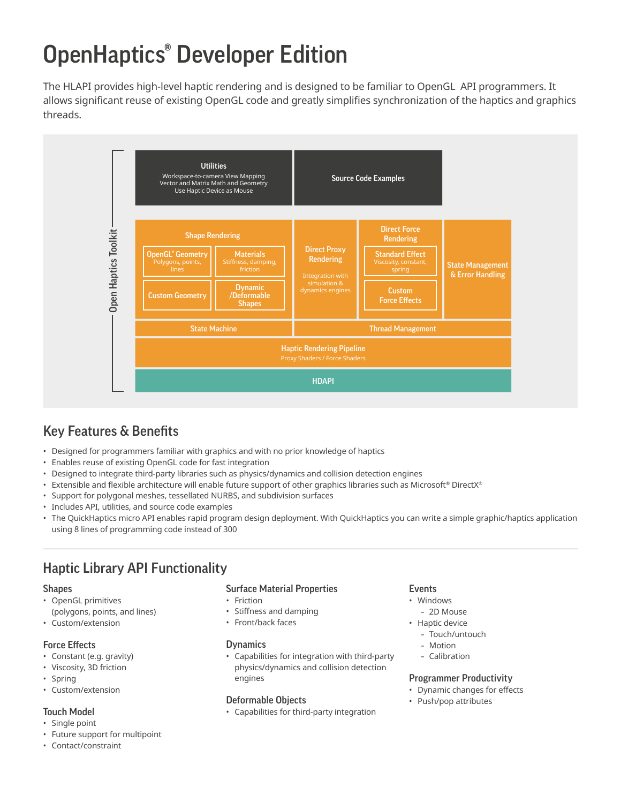# OpenHaptics® Developer Edition

The HLAPI provides high-level haptic rendering and is designed to be familiar to OpenGL API programmers. It allows significant reuse of existing OpenGL code and greatly simplifies synchronization of the haptics and graphics threads.



# Key Features & Benefits

- Designed for programmers familiar with graphics and with no prior knowledge of haptics
- Enables reuse of existing OpenGL code for fast integration
- Designed to integrate third-party libraries such as physics/dynamics and collision detection engines
- Extensible and flexible architecture will enable future support of other graphics libraries such as Microsoft® DirectX®
- Support for polygonal meshes, tessellated NURBS, and subdivision surfaces
- Includes API, utilities, and source code examples
- The QuickHaptics micro API enables rapid program design deployment. With QuickHaptics you can write a simple graphic/haptics application using 8 lines of programming code instead of 300

## Haptic Library API Functionality

#### **Shapes**

- OpenGL primitives (polygons, points, and lines)
- Custom/extension

#### Force Effects

- Constant (e.g. gravity)
- Viscosity, 3D friction
- Spring
- Custom/extension

#### Touch Model

- Single point
- Future support for multipoint
- Contact/constraint

#### Surface Material Properties

- Friction
- Stiffness and damping
- Front/back faces

#### **Dynamics**

• Capabilities for integration with third-party physics/dynamics and collision detection engines

#### Deformable Objects

• Capabilities for third-party integration

#### Events

- Windows
- 2D Mouse
- Haptic device
	- Touch/untouch
	- Motion
	- Calibration

#### Programmer Productivity

- Dynamic changes for effects
- Push/pop attributes